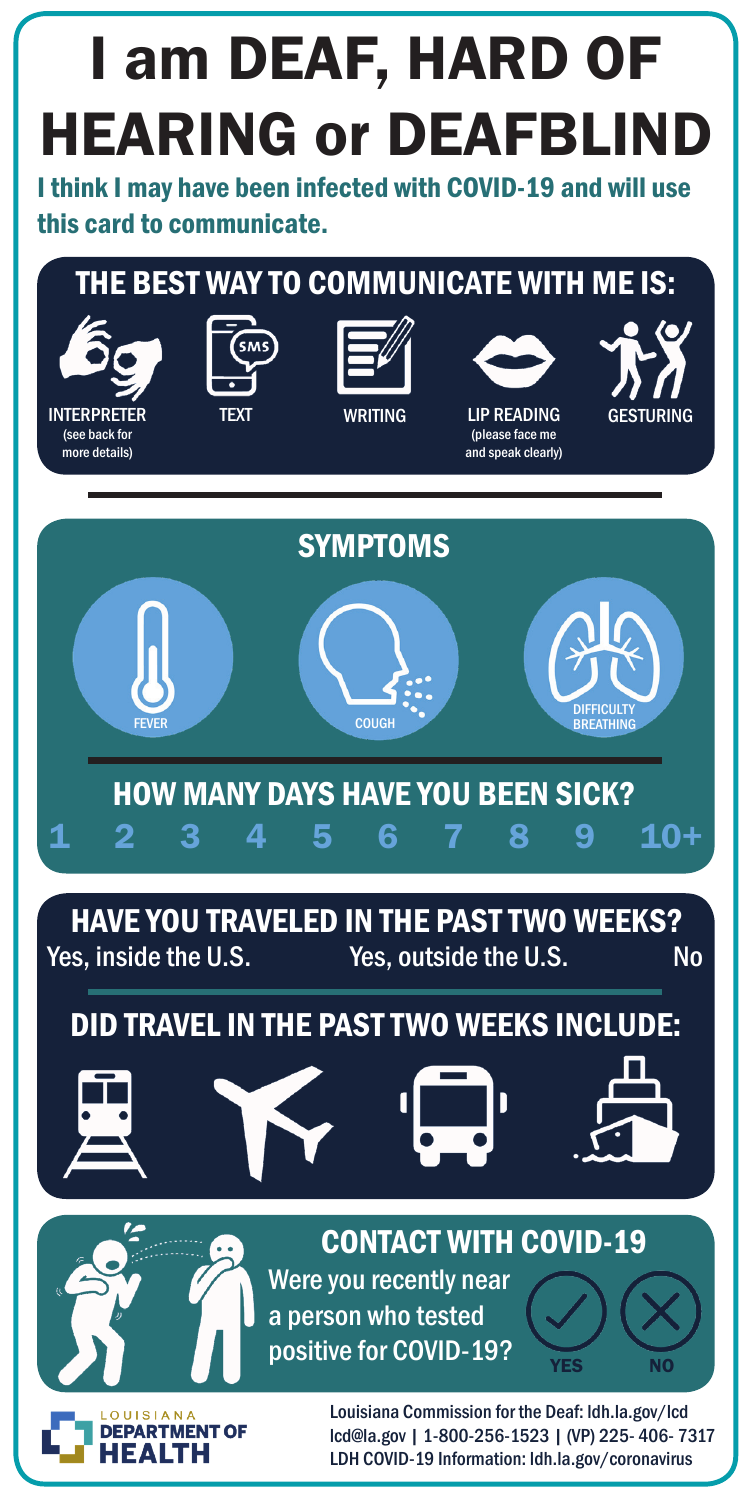# I am DEAF, HARD OF HEARING or DEAFBLIND

I think I may have been infected with COVID-19 and will use this card to communicate.